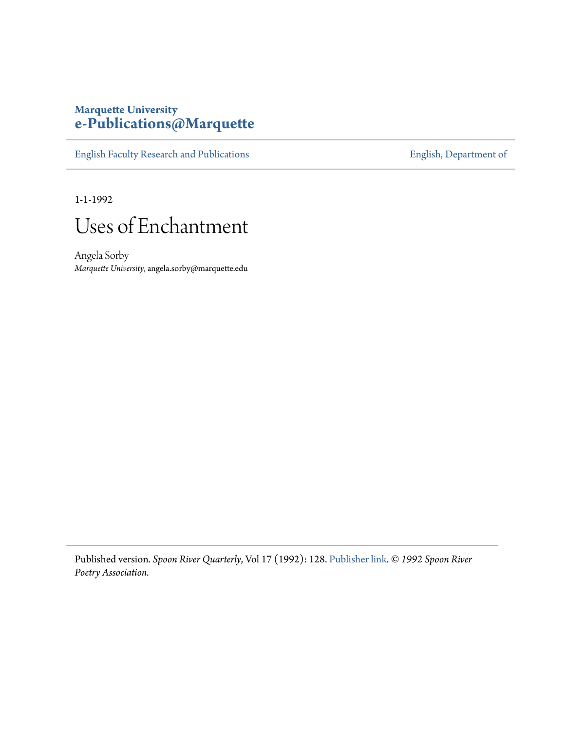## **Marquette University [e-Publications@Marquette](https://epublications.marquette.edu)**

[English Faculty Research and Publications](https://epublications.marquette.edu/english_fac) **[English, Department of](https://epublications.marquette.edu/english)** 

1-1-1992



Angela Sorby *Marquette University*, angela.sorby@marquette.edu

Published version*. Spoon River Quarterly*, Vol 17 (1992): 128. [Publisher link](http://www.srpr.org/archive.php). © *1992 Spoon River Poetry Association.*